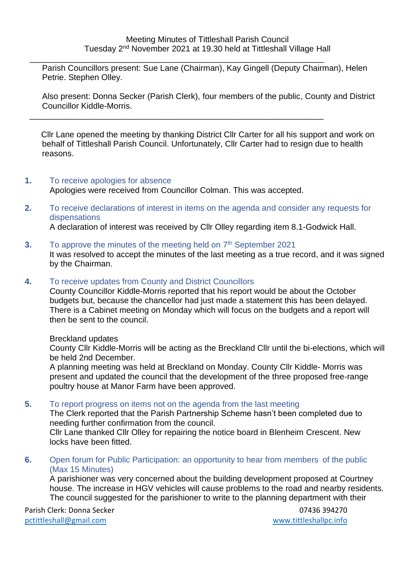$\frac{1}{2}$  ,  $\frac{1}{2}$  ,  $\frac{1}{2}$  ,  $\frac{1}{2}$  ,  $\frac{1}{2}$  ,  $\frac{1}{2}$  ,  $\frac{1}{2}$  ,  $\frac{1}{2}$  ,  $\frac{1}{2}$  ,  $\frac{1}{2}$  ,  $\frac{1}{2}$  ,  $\frac{1}{2}$  ,  $\frac{1}{2}$  ,  $\frac{1}{2}$  ,  $\frac{1}{2}$  ,  $\frac{1}{2}$  ,  $\frac{1}{2}$  ,  $\frac{1}{2}$  ,  $\frac{1$ Parish Councillors present: Sue Lane (Chairman), Kay Gingell (Deputy Chairman), Helen Petrie. Stephen Olley.

Also present: Donna Secker (Parish Clerk), four members of the public, County and District Councillor Kiddle-Morris.

 Cllr Lane opened the meeting by thanking District Cllr Carter for all his support and work on behalf of Tittleshall Parish Council. Unfortunately, Cllr Carter had to resign due to health reasons.

#### **1.** To receive apologies for absence Apologies were received from Councillor Colman. This was accepted.

\_\_\_\_\_\_\_\_\_\_\_\_\_\_\_\_\_\_\_\_\_\_\_\_\_\_\_\_\_\_\_\_\_\_\_\_\_\_\_\_\_\_\_\_\_\_\_\_\_\_\_\_\_\_\_\_\_\_\_\_\_\_\_\_

**2.** To receive declarations of interest in items on the agenda and consider any requests for dispensations

A declaration of interest was received by Cllr Olley regarding item 8.1-Godwick Hall.

## **3.** To approve the minutes of the meeting held on 7<sup>th</sup> September 2021

It was resolved to accept the minutes of the last meeting as a true record, and it was signed by the Chairman.

## **4.** To receive updates from County and District Councillors

County Councillor Kiddle-Morris reported that his report would be about the October budgets but, because the chancellor had just made a statement this has been delayed. There is a Cabinet meeting on Monday which will focus on the budgets and a report will then be sent to the council.

#### Breckland updates

County Cllr Kiddle-Morris will be acting as the Breckland Cllr until the bi-elections, which will be held 2nd December.

A planning meeting was held at Breckland on Monday. County Cllr Kiddle- Morris was present and updated the council that the development of the three proposed free-range poultry house at Manor Farm have been approved.

#### **5.** To report progress on items not on the agenda from the last meeting

The Clerk reported that the Parish Partnership Scheme hasn't been completed due to needing further confirmation from the council.

Cllr Lane thanked Cllr Olley for repairing the notice board in Blenheim Crescent. New locks have been fitted.

**6.** Open forum for Public Participation: an opportunity to hear from members of the public (Max 15 Minutes)

A parishioner was very concerned about the building development proposed at Courtney house. The increase in HGV vehicles will cause problems to the road and nearby residents. The council suggested for the parishioner to write to the planning department with their

Parish Clerk: Donna Secker 07436 394270 [pctittleshall@gmail.com](mailto:pctittleshall@gmail.com) [www.tittleshallpc.info](http://www.tittleshallpc.info/)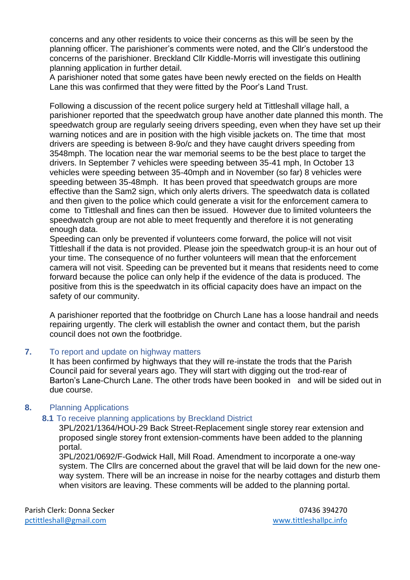concerns and any other residents to voice their concerns as this will be seen by the planning officer. The parishioner's comments were noted, and the Cllr's understood the concerns of the parishioner. Breckland Cllr Kiddle-Morris will investigate this outlining planning application in further detail.

A parishioner noted that some gates have been newly erected on the fields on Health Lane this was confirmed that they were fitted by the Poor's Land Trust.

Following a discussion of the recent police surgery held at Tittleshall village hall, a parishioner reported that the speedwatch group have another date planned this month. The speedwatch group are regularly seeing drivers speeding, even when they have set up their warning notices and are in position with the high visible jackets on. The time that most drivers are speeding is between 8-9o/c and they have caught drivers speeding from 3548mph. The location near the war memorial seems to be the best place to target the drivers. In September 7 vehicles were speeding between 35-41 mph, In October 13 vehicles were speeding between 35-40mph and in November (so far) 8 vehicles were speeding between 35-48mph. It has been proved that speedwatch groups are more effective than the Sam2 sign, which only alerts drivers. The speedwatch data is collated and then given to the police which could generate a visit for the enforcement camera to come to Tittleshall and fines can then be issued. However due to limited volunteers the speedwatch group are not able to meet frequently and therefore it is not generating enough data.

Speeding can only be prevented if volunteers come forward, the police will not visit Tittleshall if the data is not provided. Please join the speedwatch group-it is an hour out of your time. The consequence of no further volunteers will mean that the enforcement camera will not visit. Speeding can be prevented but it means that residents need to come forward because the police can only help if the evidence of the data is produced. The positive from this is the speedwatch in its official capacity does have an impact on the safety of our community.

A parishioner reported that the footbridge on Church Lane has a loose handrail and needs repairing urgently. The clerk will establish the owner and contact them, but the parish council does not own the footbridge.

#### **7.** To report and update on highway matters

It has been confirmed by highways that they will re-instate the trods that the Parish Council paid for several years ago. They will start with digging out the trod-rear of Barton's Lane-Church Lane. The other trods have been booked in and will be sided out in due course.

## **8.** Planning Applications

#### **8.1** To receive planning applications by Breckland District

3PL/2021/1364/HOU-29 Back Street-Replacement single storey rear extension and proposed single storey front extension-comments have been added to the planning portal.

3PL/2021/0692/F-Godwick Hall, Mill Road. Amendment to incorporate a one-way system. The Cllrs are concerned about the gravel that will be laid down for the new oneway system. There will be an increase in noise for the nearby cottages and disturb them when visitors are leaving. These comments will be added to the planning portal.

Parish Clerk: Donna Secker 07436 394270 [pctittleshall@gmail.com](mailto:pctittleshall@gmail.com) [www.tittleshallpc.info](http://www.tittleshallpc.info/)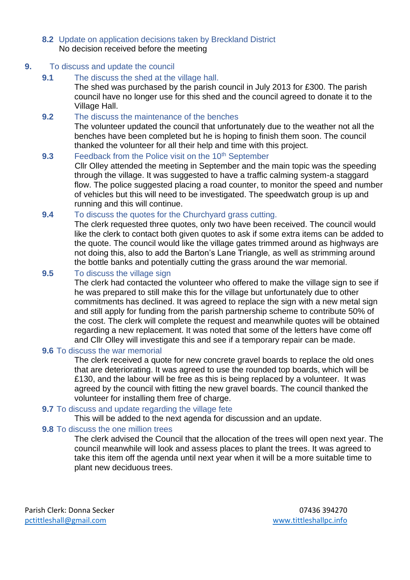#### **8.2** Update on application decisions taken by Breckland District No decision received before the meeting

#### **9.** To discuss and update the council

**9.1** The discuss the shed at the village hall. The shed was purchased by the parish council in July 2013 for £300. The parish council have no longer use for this shed and the council agreed to donate it to the Village Hall.

## **9.2** The discuss the maintenance of the benches

The volunteer updated the council that unfortunately due to the weather not all the benches have been completed but he is hoping to finish them soon. The council thanked the volunteer for all their help and time with this project.

## **9.3** Feedback from the Police visit on the 10<sup>th</sup> September

Cllr Olley attended the meeting in September and the main topic was the speeding through the village. It was suggested to have a traffic calming system-a staggard flow. The police suggested placing a road counter, to monitor the speed and number of vehicles but this will need to be investigated. The speedwatch group is up and running and this will continue.

#### **9.4** To discuss the quotes for the Churchyard grass cutting.

The clerk requested three quotes, only two have been received. The council would like the clerk to contact both given quotes to ask if some extra items can be added to the quote. The council would like the village gates trimmed around as highways are not doing this, also to add the Barton's Lane Triangle, as well as strimming around the bottle banks and potentially cutting the grass around the war memorial.

## **9.5** To discuss the village sign

The clerk had contacted the volunteer who offered to make the village sign to see if he was prepared to still make this for the village but unfortunately due to other commitments has declined. It was agreed to replace the sign with a new metal sign and still apply for funding from the parish partnership scheme to contribute 50% of the cost. The clerk will complete the request and meanwhile quotes will be obtained regarding a new replacement. It was noted that some of the letters have come off and Cllr Olley will investigate this and see if a temporary repair can be made.

#### **9.6** To discuss the war memorial

The clerk received a quote for new concrete gravel boards to replace the old ones that are deteriorating. It was agreed to use the rounded top boards, which will be £130, and the labour will be free as this is being replaced by a volunteer. It was agreed by the council with fitting the new gravel boards. The council thanked the volunteer for installing them free of charge.

#### **9.7** To discuss and update regarding the village fete

This will be added to the next agenda for discussion and an update.

## **9.8** To discuss the one million trees

The clerk advised the Council that the allocation of the trees will open next year. The council meanwhile will look and assess places to plant the trees. It was agreed to take this item off the agenda until next year when it will be a more suitable time to plant new deciduous trees.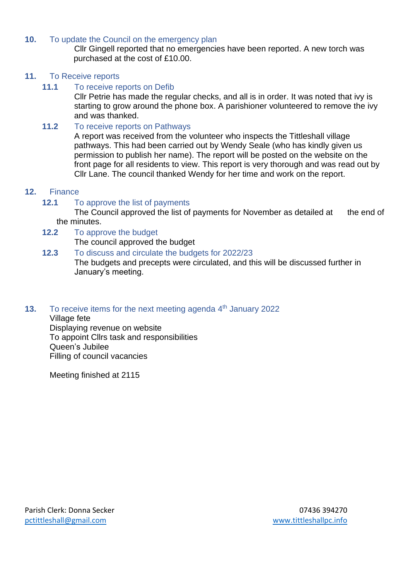## **10.** To update the Council on the emergency plan

Cllr Gingell reported that no emergencies have been reported. A new torch was purchased at the cost of £10.00.

## **11.** To Receive reports

## **11.1** To receive reports on Defib

Cllr Petrie has made the regular checks, and all is in order. It was noted that ivy is starting to grow around the phone box. A parishioner volunteered to remove the ivy and was thanked.

## **11.2** To receive reports on Pathways

A report was received from the volunteer who inspects the Tittleshall village pathways. This had been carried out by Wendy Seale (who has kindly given us permission to publish her name). The report will be posted on the website on the front page for all residents to view. This report is very thorough and was read out by Cllr Lane. The council thanked Wendy for her time and work on the report.

## **12.** Finance

## **12.1** To approve the list of payments

The Council approved the list of payments for November as detailed at the end of the minutes.

- **12.2** To approve the budget The council approved the budget
- **12.3** To discuss and circulate the budgets for 2022/23 The budgets and precepts were circulated, and this will be discussed further in January's meeting.
- **13.** To receive items for the next meeting agenda 4<sup>th</sup> January 2022

Village fete Displaying revenue on website To appoint Cllrs task and responsibilities Queen's Jubilee Filling of council vacancies

Meeting finished at 2115